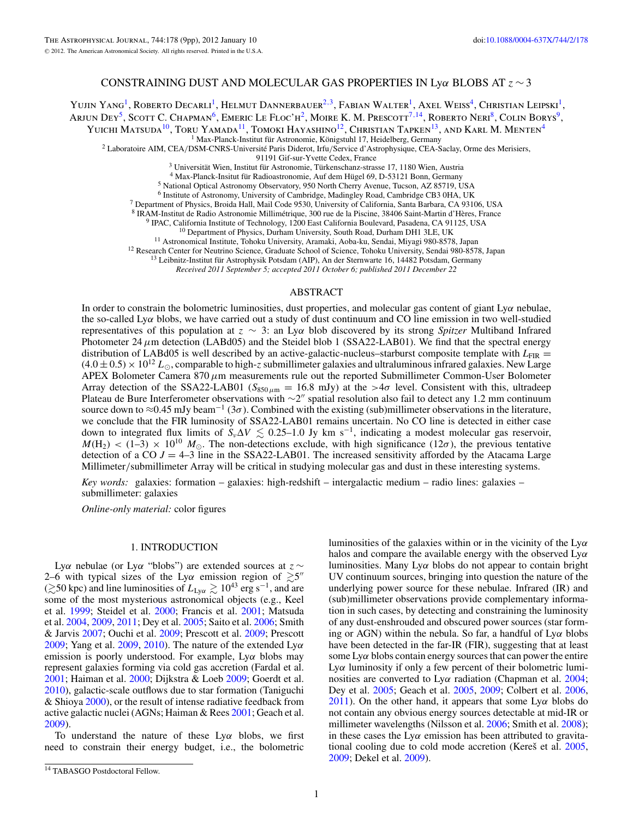# CONSTRAINING DUST AND MOLECULAR GAS PROPERTIES IN Ly*α* BLOBS AT *z* ∼ 3

Yujin Yang<sup>1</sup>, Roberto Decarli<sup>1</sup>, Helmut Dannerbauer<sup>2,3</sup>, Fabian Walter<sup>1</sup>, Axel Weiss<sup>4</sup>, Christian Leipski<sup>1</sup>, Arjun Dey<sup>5</sup>, Scott C. Chapman<sup>6</sup>, Emeric Le Floc'h<sup>2</sup>, Moire K. M. Prescott<sup>7,14</sup>, Roberto Neri<sup>8</sup>, Colin Borys<sup>9</sup>,

YUICHI MATSUDA<sup>10</sup>, TORU YAMADA<sup>11</sup>, TOMOKI HAYASHINO<sup>12</sup>, CHRISTIAN TAPKEN<sup>13</sup>, AND KARL M. MENTEN<sup>4</sup><br><sup>1</sup> Max-Planck-Institut für Astronomie, Königstuhl 17, Heidelberg, Germany

<sup>2</sup> Laboratoire AIM, CEA/DSM-CNRS-Université Paris Diderot, Irfu/Service d'Astrophysique, CEA-Saclay, Orme des Merisiers,<br><sup>91191</sup> Gif-sur-Yvette Cedex, France

 $^3$  Universität Wien, Institut für Astronomie, Türkenschanz-strasse 17, 1180 Wien, Austria $^4$ Max-Planck-Institut für Radioastronomie, Auf dem Hügel 69, D-53121 Bonn, Germany $^5$ National Optical Astronomy Observatory, 95

<sup>7</sup> Department of Physics, Broida Hall, Mail Code 9530, University of California, Santa Barbara, CA 93106, USA

<sup>8</sup> IRAM-Institut de Radio Astronomie Millimétrique, 300 rue de la Piscine, 38406 Saint-Martin d'Hères, France<br><sup>9</sup> IPAC, California Institute of Technology, 1200 East California Boulevard, Pasadena, CA 91125, USA<br><sup>10</sup> Dep

*Received 2011 September 5; accepted 2011 October 6; published 2011 December 22*

### ABSTRACT

In order to constrain the bolometric luminosities, dust properties, and molecular gas content of giant Ly*α* nebulae, the so-called Ly*α* blobs, we have carried out a study of dust continuum and CO line emission in two well-studied representatives of this population at *z* ∼ 3: an Ly*α* blob discovered by its strong *Spitzer* Multiband Infrared Photometer 24  $\mu$ m detection (LABd05) and the Steidel blob 1 (SSA22-LAB01). We find that the spectral energy distribution of LABd05 is well described by an active-galactic-nucleus–starburst composite template with  $L_{\text{FIR}}$  =  $(4.0 \pm 0.5) \times 10^{12} L_{\odot}$ , comparable to high-*z* submillimeter galaxies and ultraluminous infrared galaxies. New Large APEX Bolometer Camera 870*μ*m measurements rule out the reported Submillimeter Common-User Bolometer Array detection of the SSA22-LAB01 ( $S_{850\,\mu\text{m}} = 16.8$  mJy) at the  $>4\sigma$  level. Consistent with this, ultradeep Plateau de Bure Interferometer observations with ∼2" spatial resolution also fail to detect any 1.2 mm continuum source down to <sup>≈</sup>0.45 mJy beam−<sup>1</sup> (3*σ*). Combined with the existing (sub)millimeter observations in the literature, we conclude that the FIR luminosity of SSA22-LAB01 remains uncertain. No CO line is detected in either case down to integrated flux limits of  $S_v\Delta V \lesssim 0.25-1.0$  Jy km s<sup>-1</sup>, indicating a modest molecular gas reservoir,  $M(H_2)$  < (1–3) × 10<sup>10</sup>  $M_{\odot}$ . The non-detections exclude, with high significance (12 $\sigma$ ), the previous tentative detection of a CO  $J = 4-3$  line in the SSA22-LAB01. The increased sensitivity afforded by the Atacama Large Millimeter*/*submillimeter Array will be critical in studying molecular gas and dust in these interesting systems.

*Key words:* galaxies: formation – galaxies: high-redshift – intergalactic medium – radio lines: galaxies – submillimeter: galaxies

*Online-only material:* color figures

## 1. INTRODUCTION

Ly*α* nebulae (or Ly*α* "blobs") are extended sources at *z* ∼ 2–6 with typical sizes of the Ly $\alpha$  emission region of  $\gtrsim 5$ " ( $\gtrsim$ 50 kpc) and line luminosities of  $L_{\text{Ly}\alpha}$   $\gtrsim 10^{43}$  erg s<sup>−1</sup>, and are some of the most mysterious astronomical objects (e.g., Keel et al. [1999;](#page-8-0) Steidel et al. [2000;](#page-8-0) Francis et al. [2001;](#page-8-0) Matsuda et al. [2004,](#page-8-0) [2009,](#page-8-0) [2011;](#page-8-0) Dey et al. [2005;](#page-8-0) Saito et al. [2006;](#page-8-0) Smith & Jarvis [2007;](#page-8-0) Ouchi et al. [2009;](#page-8-0) Prescott et al. [2009;](#page-8-0) Prescott [2009;](#page-8-0) Yang et al. [2009,](#page-8-0) [2010\)](#page-8-0). The nature of the extended Ly*α* emission is poorly understood. For example, Ly*α* blobs may represent galaxies forming via cold gas accretion (Fardal et al. [2001;](#page-8-0) Haiman et al. [2000;](#page-8-0) Dijkstra & Loeb [2009;](#page-8-0) Goerdt et al. [2010\)](#page-8-0), galactic-scale outflows due to star formation (Taniguchi & Shioya [2000\)](#page-8-0), or the result of intense radiative feedback from active galactic nuclei (AGNs; Haiman & Rees [2001;](#page-8-0) Geach et al. [2009\)](#page-8-0).

To understand the nature of these Ly*α* blobs, we first need to constrain their energy budget, i.e., the bolometric

luminosities of the galaxies within or in the vicinity of the Ly*α* halos and compare the available energy with the observed Ly*α* luminosities. Many Ly*α* blobs do not appear to contain bright UV continuum sources, bringing into question the nature of the underlying power source for these nebulae. Infrared (IR) and (sub)millimeter observations provide complementary information in such cases, by detecting and constraining the luminosity of any dust-enshrouded and obscured power sources (star forming or AGN) within the nebula. So far, a handful of Ly*α* blobs have been detected in the far-IR (FIR), suggesting that at least some Ly*α* blobs contain energy sources that can power the entire Ly*α* luminosity if only a few percent of their bolometric luminosities are converted to Ly*α* radiation (Chapman et al. [2004;](#page-8-0) Dey et al. [2005;](#page-8-0) Geach et al. [2005,](#page-8-0) [2009;](#page-8-0) Colbert et al. [2006,](#page-8-0) [2011\)](#page-8-0). On the other hand, it appears that some  $Ly\alpha$  blobs do not contain any obvious energy sources detectable at mid-IR or millimeter wavelengths (Nilsson et al. [2006;](#page-8-0) Smith et al. [2008\)](#page-8-0); in these cases the Ly*α* emission has been attributed to gravitational cooling due to cold mode accretion (Kereš et al.  $2005$ , [2009;](#page-8-0) Dekel et al. [2009\)](#page-8-0).

<sup>&</sup>lt;sup>14</sup> TABASGO Postdoctoral Fellow.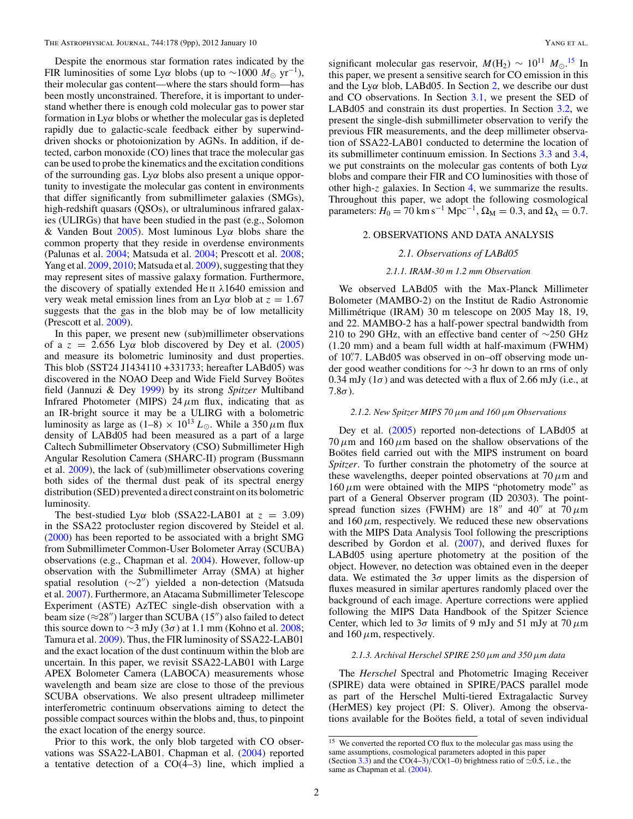Despite the enormous star formation rates indicated by the FIR luminosities of some Lyα blobs (up to ∼1000  $M_{\odot}$  yr<sup>-1</sup>), their molecular gas content—where the stars should form—has been mostly unconstrained. Therefore, it is important to understand whether there is enough cold molecular gas to power star formation in Ly*α* blobs or whether the molecular gas is depleted rapidly due to galactic-scale feedback either by superwinddriven shocks or photoionization by AGNs. In addition, if detected, carbon monoxide (CO) lines that trace the molecular gas can be used to probe the kinematics and the excitation conditions of the surrounding gas. Ly*α* blobs also present a unique opportunity to investigate the molecular gas content in environments that differ significantly from submillimeter galaxies (SMGs), high-redshift quasars (QSOs), or ultraluminous infrared galaxies (ULIRGs) that have been studied in the past (e.g., Solomon & Vanden Bout [2005\)](#page-8-0). Most luminous Ly*α* blobs share the common property that they reside in overdense environments (Palunas et al. [2004;](#page-8-0) Matsuda et al. [2004;](#page-8-0) Prescott et al. [2008;](#page-8-0) Yang et al. [2009,](#page-8-0) [2010;](#page-8-0) Matsuda et al. [2009\)](#page-8-0), suggesting that they may represent sites of massive galaxy formation. Furthermore, the discovery of spatially extended He ii *λ*1640 emission and very weak metal emission lines from an Ly*α* blob at *z* = 1*.*67 suggests that the gas in the blob may be of low metallicity (Prescott et al. [2009\)](#page-8-0).

In this paper, we present new (sub)millimeter observations of a  $z = 2.656$  Ly $\alpha$  blob discovered by Dey et al. [\(2005\)](#page-8-0) and measure its bolometric luminosity and dust properties. This blob (SST24 J1434110 +331733; hereafter LABd05) was discovered in the NOAO Deep and Wide Field Survey Boötes field (Jannuzi & Dey [1999\)](#page-8-0) by its strong *Spitzer* Multiband Infrared Photometer (MIPS) 24*μ*m flux, indicating that as an IR-bright source it may be a ULIRG with a bolometric luminosity as large as  $(1-8) \times 10^{13} L_{\odot}$ . While a 350  $\mu$ m flux density of LABd05 had been measured as a part of a large Caltech Submillimeter Observatory (CSO) Submillimeter High Angular Resolution Camera (SHARC-II) program (Bussmann et al. [2009\)](#page-8-0), the lack of (sub)millimeter observations covering both sides of the thermal dust peak of its spectral energy distribution (SED) prevented a direct constraint on its bolometric luminosity.

The best-studied Ly $\alpha$  blob (SSA22-LAB01 at  $z = 3.09$ ) in the SSA22 protocluster region discovered by Steidel et al. [\(2000\)](#page-8-0) has been reported to be associated with a bright SMG from Submillimeter Common-User Bolometer Array (SCUBA) observations (e.g., Chapman et al. [2004\)](#page-8-0). However, follow-up observation with the Submillimeter Array (SMA) at higher spatial resolution (~2") yielded a non-detection (Matsuda et al. [2007\)](#page-8-0). Furthermore, an Atacama Submillimeter Telescope Experiment (ASTE) AzTEC single-dish observation with a beam size ( $\approx$ 28") larger than SCUBA (15") also failed to detect this source down to  $\sim$ 3 mJy (3 $\sigma$ ) at 1.1 mm (Kohno et al. [2008;](#page-8-0) Tamura et al. [2009\)](#page-8-0). Thus, the FIR luminosity of SSA22-LAB01 and the exact location of the dust continuum within the blob are uncertain. In this paper, we revisit SSA22-LAB01 with Large APEX Bolometer Camera (LABOCA) measurements whose wavelength and beam size are close to those of the previous SCUBA observations. We also present ultradeep millimeter interferometric continuum observations aiming to detect the possible compact sources within the blobs and, thus, to pinpoint the exact location of the energy source.

Prior to this work, the only blob targeted with CO observations was SSA22-LAB01. Chapman et al. [\(2004\)](#page-8-0) reported a tentative detection of a CO(4–3) line, which implied a

significant molecular gas reservoir,  $M(\text{H}_2) \sim 10^{11} M_{\odot}$ .<sup>15</sup> In this paper, we present a sensitive search for CO emission in this and the Ly*α* blob, LABd05. In Section 2, we describe our dust and CO observations. In Section [3.1,](#page-3-0) we present the SED of LABd05 and constrain its dust properties. In Section [3.2,](#page-4-0) we present the single-dish submillimeter observation to verify the previous FIR measurements, and the deep millimeter observation of SSA22-LAB01 conducted to determine the location of its submillimeter continuum emission. In Sections [3.3](#page-5-0) and [3.4,](#page-7-0) we put constraints on the molecular gas contents of both Ly*α* blobs and compare their FIR and CO luminosities with those of other high-*z* galaxies. In Section [4,](#page-7-0) we summarize the results. Throughout this paper, we adopt the following cosmological parameters:  $H_0 = 70 \text{ km s}^{-1} \text{ Mpc}^{-1}$ ,  $\Omega_M = 0.3$ , and  $\Omega_{\Lambda} = 0.7$ .

### 2. OBSERVATIONS AND DATA ANALYSIS

#### *2.1. Observations of LABd05*

### *2.1.1. IRAM-30 m 1.2 mm Observation*

We observed LABd05 with the Max-Planck Millimeter Bolometer (MAMBO-2) on the Institut de Radio Astronomie Millimétrique (IRAM) 30 m telescope on 2005 May 18, 19, and 22. MAMBO-2 has a half-power spectral bandwidth from 210 to 290 GHz, with an effective band center of ∼250 GHz (1.20 mm) and a beam full width at half-maximum (FWHM) of 10*.* 7. LABd05 was observed in on–off observing mode under good weather conditions for ∼3 hr down to an rms of only 0.34 mJy  $(1\sigma)$  and was detected with a flux of 2.66 mJy (i.e., at 7.8*σ*).

#### *2.1.2. New Spitzer MIPS 70μm and 160μm Observations*

Dey et al. [\(2005\)](#page-8-0) reported non-detections of LABd05 at  $70 \mu$ m and  $160 \mu$ m based on the shallow observations of the Bootes field carried out with the MIPS instrument on board *Spitzer*. To further constrain the photometry of the source at these wavelengths, deeper pointed observations at 70*μ*m and  $160 \mu m$  were obtained with the MIPS "photometry mode" as part of a General Observer program (ID 20303). The pointspread function sizes (FWHM) are  $18''$  and  $40''$  at  $70 \,\mu m$ and  $160 \mu$ m, respectively. We reduced these new observations with the MIPS Data Analysis Tool following the prescriptions described by Gordon et al. [\(2007\)](#page-8-0), and derived fluxes for LABd05 using aperture photometry at the position of the object. However, no detection was obtained even in the deeper data. We estimated the 3*σ* upper limits as the dispersion of fluxes measured in similar apertures randomly placed over the background of each image. Aperture corrections were applied following the MIPS Data Handbook of the Spitzer Science Center, which led to 3*σ* limits of 9 mJy and 51 mJy at 70*μ*m and  $160 \mu$ m, respectively.

# *2.1.3. Archival Herschel SPIRE 250μm and 350μm data*

The *Herschel* Spectral and Photometric Imaging Receiver (SPIRE) data were obtained in SPIRE*/*PACS parallel mode as part of the Herschel Multi-tiered Extragalactic Survey (HerMES) key project (PI: S. Oliver). Among the observations available for the Boötes field, a total of seven individual

<sup>&</sup>lt;sup>15</sup> We converted the reported CO flux to the molecular gas mass using the same assumptions, cosmological parameters adopted in this paper (Section [3.3\)](#page-5-0) and the CO(4–3)/CO(1–0) brightness ratio of  $\approx 0.5$ , i.e., the same as Chapman et al. [\(2004\)](#page-8-0).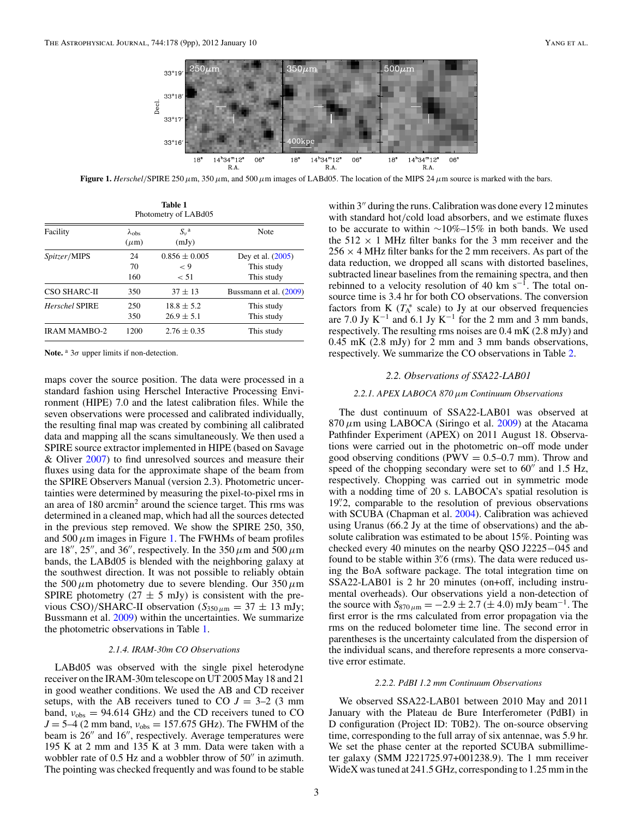<span id="page-2-0"></span>

**Figure 1.** *Herschel/*SPIRE 250*μ*m, 350*μ*m, and 500*μ*m images of LABd05. The location of the MIPS 24*μ*m source is marked with the bars.

| Table 1<br>Photometry of LABd05 |                                  |                                      |                                               |  |  |  |  |
|---------------------------------|----------------------------------|--------------------------------------|-----------------------------------------------|--|--|--|--|
| Facility                        | $\lambda_{\rm obs}$<br>$(\mu m)$ | $S_{\nu}^{\ a}$<br>(mJy)             | Note                                          |  |  |  |  |
| Spitzer/MIPS                    | 24<br>70<br>160                  | $0.856 \pm 0.005$<br>$\lt 9$<br>< 51 | Dey et al. (2005)<br>This study<br>This study |  |  |  |  |
| <b>CSO SHARC-II</b>             | 350                              | $37 \pm 13$                          | Bussmann et al. (2009)                        |  |  |  |  |
| <b>Herschel SPIRE</b>           | 250<br>350                       | $18.8 + 5.2$<br>$26.9 \pm 5.1$       | This study<br>This study                      |  |  |  |  |
| <b>IRAM MAMBO-2</b>             | 1200                             | $2.76 \pm 0.35$                      | This study                                    |  |  |  |  |

**Note.** <sup>a</sup> 3*σ* upper limits if non-detection.

maps cover the source position. The data were processed in a standard fashion using Herschel Interactive Processing Environment (HIPE) 7.0 and the latest calibration files. While the seven observations were processed and calibrated individually, the resulting final map was created by combining all calibrated data and mapping all the scans simultaneously. We then used a SPIRE source extractor implemented in HIPE (based on Savage & Oliver [2007\)](#page-8-0) to find unresolved sources and measure their fluxes using data for the approximate shape of the beam from the SPIRE Observers Manual (version 2.3). Photometric uncertainties were determined by measuring the pixel-to-pixel rms in an area of  $180$  arcmin<sup>2</sup> around the science target. This rms was determined in a cleaned map, which had all the sources detected in the previous step removed. We show the SPIRE 250, 350, and  $500 \mu$ m images in Figure 1. The FWHMs of beam profiles are 18", 25", and 36", respectively. In the 350  $\mu$ m and 500  $\mu$ m bands, the LABd05 is blended with the neighboring galaxy at the southwest direction. It was not possible to reliably obtain the 500*μ*m photometry due to severe blending. Our 350*μ*m SPIRE photometry (27  $\pm$  5 mJy) is consistent with the previous CSO)/SHARC-II observation ( $S_{350 \mu m} = 37 \pm 13$  mJy; Bussmann et al. [2009\)](#page-8-0) within the uncertainties. We summarize the photometric observations in Table 1.

### *2.1.4. IRAM-30m CO Observations*

LABd05 was observed with the single pixel heterodyne receiver on the IRAM-30m telescope on UT 2005 May 18 and 21 in good weather conditions. We used the AB and CD receiver setups, with the AB receivers tuned to CO  $J = 3-2$  (3 mm) band,  $v_{\text{obs}} = 94.614 \text{ GHz}$ ) and the CD receivers tuned to CO  $J = 5-4$  (2 mm band,  $v_{obs} = 157.675$  GHz). The FWHM of the beam is 26" and 16", respectively. Average temperatures were 195 K at 2 mm and 135 K at 3 mm. Data were taken with a wobbler rate of  $0.5$  Hz and a wobbler throw of  $50''$  in azimuth. The pointing was checked frequently and was found to be stable within  $3''$  during the runs. Calibration was done every 12 minutes with standard hot*/*cold load absorbers, and we estimate fluxes to be accurate to within  $\sim 10\% - 15\%$  in both bands. We used the  $512 \times 1$  MHz filter banks for the 3 mm receiver and the  $256 \times 4$  MHz filter banks for the 2 mm receivers. As part of the data reduction, we dropped all scans with distorted baselines, subtracted linear baselines from the remaining spectra, and then rebinned to a velocity resolution of 40 km s<sup>-1</sup>. The total onsource time is 3.4 hr for both CO observations. The conversion factors from K  $(T_A^*$  scale) to Jy at our observed frequencies are 7.0 Jy K<sup>-1</sup> and 6.1 Jy K<sup>-1</sup> for the 2 mm and 3 mm bands, respectively. The resulting rms noises are 0.4 mK (2.8 mJy) and

0.45 mK (2.8 mJy) for 2 mm and 3 mm bands observations, respectively. We summarize the CO observations in Table [2.](#page-3-0)

#### *2.2. Observations of SSA22-LAB01*

## *2.2.1. APEX LABOCA 870μm Continuum Observations*

The dust continuum of SSA22-LAB01 was observed at 870*μ*m using LABOCA (Siringo et al. [2009\)](#page-8-0) at the Atacama Pathfinder Experiment (APEX) on 2011 August 18. Observations were carried out in the photometric on–off mode under good observing conditions (PWV  $= 0.5 - 0.7$  mm). Throw and speed of the chopping secondary were set to  $60''$  and 1.5 Hz, respectively. Chopping was carried out in symmetric mode with a nodding time of 20 s. LABOCA's spatial resolution is 19*.* 2, comparable to the resolution of previous observations with SCUBA (Chapman et al. [2004\)](#page-8-0). Calibration was achieved using Uranus (66.2 Jy at the time of observations) and the absolute calibration was estimated to be about 15%. Pointing was checked every 40 minutes on the nearby QSO J2225−045 and found to be stable within 3<sup>"</sup>. 6 (rms). The data were reduced using the BoA software package. The total integration time on SSA22-LAB01 is 2 hr 20 minutes (on+off, including instrumental overheads). Our observations yield a non-detection of the source with  $S_{870 \mu m} = -2.9 \pm 2.7 (\pm 4.0)$  mJy beam<sup>-1</sup>. The first error is the rms calculated from error propagation via the rms on the reduced bolometer time line. The second error in parentheses is the uncertainty calculated from the dispersion of the individual scans, and therefore represents a more conservative error estimate.

### *2.2.2. PdBI 1.2 mm Continuum Observations*

We observed SSA22-LAB01 between 2010 May and 2011 January with the Plateau de Bure Interferometer (PdBI) in D configuration (Project ID: T0B2). The on-source observing time, corresponding to the full array of six antennae, was 5.9 hr. We set the phase center at the reported SCUBA submillimeter galaxy (SMM J221725.97+001238.9). The 1 mm receiver WideX was tuned at 241.5 GHz, corresponding to 1.25 mm in the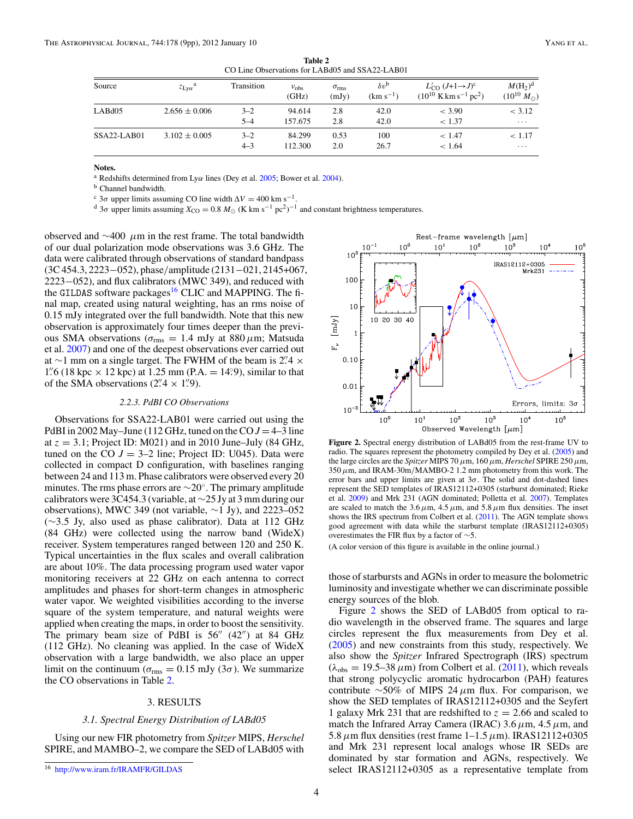<span id="page-3-0"></span>

| CO Line Observations for LABGOS and SSA22-LABOT |                             |                    |                        |                             |                                     |                                                                                           |                                     |  |
|-------------------------------------------------|-----------------------------|--------------------|------------------------|-----------------------------|-------------------------------------|-------------------------------------------------------------------------------------------|-------------------------------------|--|
| Source                                          | $z_{Lv\alpha}$ <sup>a</sup> | Transition         | $v_{\rm obs}$<br>(GHz) | $\sigma_{\rm rms}$<br>(mJy) | $\delta v^{\rm b}$<br>$(km s^{-1})$ | $L'_{\rm CO}$ $(J+1\rightarrow J)^c$<br>$(10^{10}$ K km s <sup>-1</sup> pc <sup>2</sup> ) | $M(H_2)^d$<br>$(10^{10} M_{\odot})$ |  |
| LAB <sub>d</sub> 05                             | $2.656 \pm 0.006$           | $3 - 2$<br>$5 - 4$ | 94.614<br>157.675      | 2.8<br>2.8                  | 42.0<br>42.0                        | $<$ 3.90<br>< 1.37                                                                        | < 3.12<br>$\cdots$                  |  |
| $SSA22-IAB01$                                   | $3.102 \pm 0.005$           | $3 - 2$<br>$4 - 3$ | 84.299<br>112.300      | 0.53<br>2.0                 | 100<br>26.7                         | < 1.47<br>< 1.64                                                                          | < 1.17<br>$\cdots$                  |  |

**Table 2** CO Line Observations for LABd05 and SSA22-LAB01

**Notes.**

<sup>a</sup> Redshifts determined from Ly*α* lines (Dey et al. [2005;](#page-8-0) Bower et al. [2004\)](#page-8-0).

<sup>b</sup> Channel bandwidth.<br><sup>c</sup>  $3\sigma$  upper limits assuming CO line width  $\Delta V = 400$  km s<sup>-1</sup>.

<sup>c</sup> 3*σ* upper limits assuming CO line width  $\Delta V = 400 \text{ km s}^{-1}$ .<br><sup>d</sup> 3*σ* upper limits assuming  $X_{\text{CO}} = 0.8 M_{\odot}$  (K km s<sup>-1</sup> pc<sup>2</sup>)<sup>-1</sup> and constant brightness temperatures.

observed and ∼400 *μ*m in the rest frame. The total bandwidth of our dual polarization mode observations was 3.6 GHz. The data were calibrated through observations of standard bandpass (3C 454.3, 2223−052), phase*/*amplitude (2131−021, 2145+067, 2223−052), and flux calibrators (MWC 349), and reduced with the GILDAS software packages<sup>16</sup> CLIC and MAPPING. The final map, created using natural weighting, has an rms noise of 0.15 mJy integrated over the full bandwidth. Note that this new observation is approximately four times deeper than the previous SMA observations ( $\sigma_{\rm rms} = 1.4$  mJy at 880  $\mu$ m; Matsuda et al. [2007\)](#page-8-0) and one of the deepest observations ever carried out at ∼1 mm on a single target. The FWHM of the beam is  $2^{n}$  ×  $\frac{1}{2}$  ×  $\frac{1}{2}$ 1''.6 (18 kpc  $\times$  12 kpc) at 1.25 mm (P.A. = 14°.9), similar to that of the SMA observations  $(2.\,4 \times 1.\,9)$ .

#### *2.2.3. PdBI CO Observations*

Observations for SSA22-LAB01 were carried out using the PdBI in 2002 May–June (112 GHz, tuned on the CO  $J = 4-3$  line at  $z = 3.1$ ; Project ID: M021) and in 2010 June–July (84 GHz, tuned on the CO  $J = 3-2$  line; Project ID: U045). Data were collected in compact D configuration, with baselines ranging between 24 and 113 m. Phase calibrators were observed every 20 minutes. The rms phase errors are  $\sim$ 20°. The primary amplitude calibrators were 3C454.3 (variable, at ∼25 Jy at 3 mm during our observations), MWC 349 (not variable, ∼1 Jy), and 2223–052 (∼3*.*5 Jy, also used as phase calibrator). Data at 112 GHz (84 GHz) were collected using the narrow band (WideX) receiver. System temperatures ranged between 120 and 250 K. Typical uncertainties in the flux scales and overall calibration are about 10%. The data processing program used water vapor monitoring receivers at 22 GHz on each antenna to correct amplitudes and phases for short-term changes in atmospheric water vapor. We weighted visibilities according to the inverse square of the system temperature, and natural weights were applied when creating the maps, in order to boost the sensitivity. The primary beam size of PdBI is  $56''$  (42") at 84 GHz (112 GHz). No cleaning was applied. In the case of WideX observation with a large bandwidth, we also place an upper limit on the continuum ( $\sigma_{\rm rms} = 0.15$  mJy (3 $\sigma$ ). We summarize the CO observations in Table 2.

### 3. RESULTS

## *3.1. Spectral Energy Distribution of LABd05*

Using our new FIR photometry from *Spitzer* MIPS, *Herschel* SPIRE, and MAMBO–2, we compare the SED of LABd05 with



**Figure 2.** Spectral energy distribution of LABd05 from the rest-frame UV to radio. The squares represent the photometry compiled by Dey et al. [\(2005\)](#page-8-0) and the large circles are the *Spitzer* MIPS 70*μ*m, 160*μ*m, *Herschel* SPIRE 250*μ*m, 350*μ*m, and IRAM-30m*/*MAMBO-2 1.2 mm photometry from this work. The error bars and upper limits are given at  $3\sigma$ . The solid and dot-dashed lines represent the SED templates of IRAS12112+0305 (starburst dominated; Rieke et al. [2009\)](#page-8-0) and Mrk 231 (AGN dominated; Polletta et al. [2007\)](#page-8-0). Templates are scaled to match the  $3.6 \mu m$ ,  $4.5 \mu m$ , and  $5.8 \mu m$  flux densities. The inset shows the IRS spectrum from Colbert et al. [\(2011\)](#page-8-0). The AGN template shows good agreement with data while the starburst template (IRAS12112+0305) overestimates the FIR flux by a factor of ∼5.

(A color version of this figure is available in the online journal.)

those of starbursts and AGNs in order to measure the bolometric luminosity and investigate whether we can discriminate possible energy sources of the blob.

Figure 2 shows the SED of LABd05 from optical to radio wavelength in the observed frame. The squares and large circles represent the flux measurements from Dey et al. [\(2005\)](#page-8-0) and new constraints from this study, respectively. We also show the *Spitzer* Infrared Spectrograph (IRS) spectrum  $(\lambda_{obs} = 19.5-38 \,\mu\text{m})$  from Colbert et al. [\(2011\)](#page-8-0), which reveals that strong polycyclic aromatic hydrocarbon (PAH) features contribute ∼50% of MIPS 24*μ*m flux. For comparison, we show the SED templates of IRAS12112+0305 and the Seyfert 1 galaxy Mrk 231 that are redshifted to  $z = 2.66$  and scaled to match the Infrared Array Camera (IRAC) 3.6*μ*m, 4.5*μ*m, and 5.8*μ*m flux densities (rest frame 1–1.5*μ*m). IRAS12112+0305 and Mrk 231 represent local analogs whose IR SEDs are dominated by star formation and AGNs, respectively. We select IRAS12112+0305 as a representative template from

<sup>16</sup> <http://www.iram.fr/IRAMFR/GILDAS>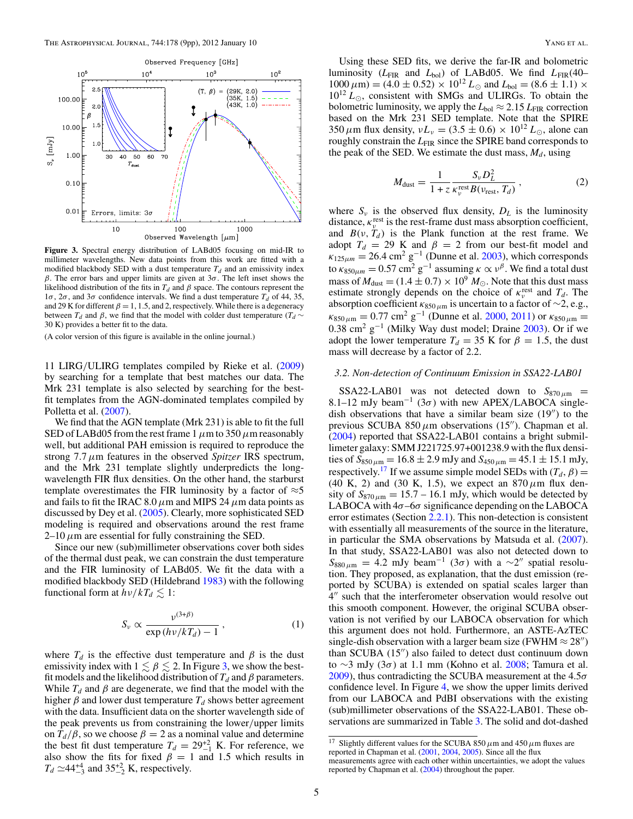<span id="page-4-0"></span>

**Figure 3.** Spectral energy distribution of LABd05 focusing on mid-IR to millimeter wavelengths. New data points from this work are fitted with a modified blackbody SED with a dust temperature  $T_d$  and an emissivity index *β*. The error bars and upper limits are given at 3*σ*. The left inset shows the likelihood distribution of the fits in  $T_d$  and  $\beta$  space. The contours represent the  $1\sigma$ ,  $2\sigma$ , and  $3\sigma$  confidence intervals. We find a dust temperature  $T_d$  of 44, 35, and 29 K for different  $\beta = 1, 1.5,$  and 2, respectively. While there is a degeneracy between  $T_d$  and *β*, we find that the model with colder dust temperature ( $T_d \sim$ 30 K) provides a better fit to the data.

(A color version of this figure is available in the online journal.)

11 LIRG*/*ULIRG templates compiled by Rieke et al. [\(2009\)](#page-8-0) by searching for a template that best matches our data. The Mrk 231 template is also selected by searching for the bestfit templates from the AGN-dominated templates compiled by Polletta et al. [\(2007\)](#page-8-0).

We find that the AGN template (Mrk 231) is able to fit the full SED of LABd05 from the rest frame 1*μ*m to 350*μ*m reasonably well, but additional PAH emission is required to reproduce the strong 7.7*μ*m features in the observed *Spitzer* IRS spectrum, and the Mrk 231 template slightly underpredicts the longwavelength FIR flux densities. On the other hand, the starburst template overestimates the FIR luminosity by a factor of  $\approx$ 5 and fails to fit the IRAC 8.0  $\mu$ m and MIPS 24  $\mu$ m data points as discussed by Dey et al. [\(2005\)](#page-8-0). Clearly, more sophisticated SED modeling is required and observations around the rest frame  $2-10 \mu$ m are essential for fully constraining the SED.

Since our new (sub)millimeter observations cover both sides of the thermal dust peak, we can constrain the dust temperature and the FIR luminosity of LABd05. We fit the data with a modified blackbody SED (Hildebrand [1983\)](#page-8-0) with the following functional form at  $h\nu/kT_d \lesssim 1$ :

$$
S_{\nu} \propto \frac{\nu^{(3+\beta)}}{\exp(h\nu/kT_d) - 1}, \qquad (1)
$$

where  $T_d$  is the effective dust temperature and  $\beta$  is the dust emissivity index with  $1 \lesssim \beta \lesssim 2$ . In Figure 3, we show the bestfit models and the likelihood distribution of  $T_d$  and  $\beta$  parameters. While  $T_d$  and  $\beta$  are degenerate, we find that the model with the higher  $\beta$  and lower dust temperature  $T_d$  shows better agreement with the data. Insufficient data on the shorter wavelength side of the peak prevents us from constraining the lower*/*upper limits on  $T_d/\beta$ , so we choose  $\beta = 2$  as a nominal value and determine the best fit dust temperature  $T_d = 29^{+2}_{-1}$  K. For reference, we also show the fits for fixed  $\beta = 1$  and 1.5 which results in  $T_d \simeq 44^{+4}_{-3}$  and  $35^{+2}_{-2}$  K, respectively.

Using these SED fits, we derive the far-IR and bolometric luminosity (*L*FIR and *L*bol) of LABd05. We find *L*FIR(40–  $1000 \,\mu\text{m}$ ) = (4.0 ± 0.52) ×  $10^{12} L_{\odot}$  and  $L_{\text{bol}}$  = (8.6 ± 1.1) ×  $10^{12} L_{\odot}$ , consistent with SMGs and ULIRGs. To obtain the bolometric luminosity, we apply the  $L_{bol} \approx 2.15 L_{FIR}$  correction based on the Mrk 231 SED template. Note that the SPIRE 350  $\mu$ m flux density,  $vL_v = (3.5 \pm 0.6) \times 10^{12} L_{\odot}$ , alone can roughly constrain the *L*<sub>FIR</sub> since the SPIRE band corresponds to the peak of the SED. We estimate the dust mass,  $M_d$ , using

$$
M_{\text{dust}} = \frac{1}{1 + z} \frac{S_{\nu} D_L^2}{\kappa_{\nu}^{\text{rest}} B(\nu_{\text{rest}}, T_d)},\tag{2}
$$

where  $S_v$  is the observed flux density,  $D_L$  is the luminosity distance,  $\kappa_{\nu}^{\text{rest}}$  is the rest-frame dust mass absorption coefficient, and  $B(v, T_d)$  is the Plank function at the rest frame. We adopt  $T_d = 29$  K and  $\beta = 2$  from our best-fit model and  $k_{125\mu m} = 26.4 \text{ cm}^2 \text{ g}^{-1}$  (Dunne et al. [2003\)](#page-8-0), which corresponds to  $\kappa_{850\mu m} = 0.57 \text{ cm}^2 \text{ g}^{-1}$  assuming  $\kappa \propto v^{\beta}$ . We find a total dust mass of  $M_{\text{dust}} = (1.4 \pm 0.7) \times 10^9 M_{\odot}$ . Note that this dust mass estimate strongly depends on the choice of  $\kappa_v^{\text{rest}}$  and  $T_d$ . The absorption coefficient  $\kappa_{850 \mu m}$  is uncertain to a factor of ~2, e.g.,  $\kappa_{850 \mu m} = 0.77 \text{ cm}^2 \text{ g}^{-1}$  (Dunne et al. [2000,](#page-8-0) [2011\)](#page-8-0) or  $\kappa_{850 \mu m} =$ 0.38 cm<sup>2</sup> g<sup>-1</sup> (Milky Way dust model; Draine [2003\)](#page-8-0). Or if we adopt the lower temperature  $T_d = 35$  K for  $\beta = 1.5$ , the dust mass will decrease by a factor of 2.2.

#### *3.2. Non-detection of Continuum Emission in SSA22-LAB01*

SSA22-LAB01 was not detected down to  $S_{870 \mu m}$  = 8.1–12 mJy beam<sup>-1</sup> (3 $\sigma$ ) with new APEX/LABOCA singledish observations that have a similar beam size  $(19'')$  to the previous SCUBA 850 $\mu$ m observations (15<sup>"</sup>). Chapman et al. [\(2004\)](#page-8-0) reported that SSA22-LAB01 contains a bright submillimeter galaxy: SMM J221725.97+001238.9 with the flux densities of  $S_{850 \mu m} = 16.8 \pm 2.9$  mJy and  $S_{450 \mu m} = 45.1 \pm 15.1$  mJy, respectively.<sup>17</sup> If we assume simple model SEDs with  $(T_d, \beta)$  = (40 K, 2) and (30 K, 1.5), we expect an 870*μ*m flux density of  $S_{870 \mu m} = 15.7 - 16.1$  mJy, which would be detected by LABOCA with 4*σ*–6*σ* significance depending on the LABOCA error estimates (Section [2.2.1\)](#page-2-0). This non-detection is consistent with essentially all measurements of the source in the literature, in particular the SMA observations by Matsuda et al. [\(2007\)](#page-8-0). In that study, SSA22-LAB01 was also not detected down to  $S_{880 \mu m} = 4.2$  mJy beam<sup>-1</sup> (3 $\sigma$ ) with a ~2" spatial resolution. They proposed, as explanation, that the dust emission (reported by SCUBA) is extended on spatial scales larger than 4" such that the interferometer observation would resolve out this smooth component. However, the original SCUBA observation is not verified by our LABOCA observation for which this argument does not hold. Furthermore, an ASTE-AzTEC single-dish observation with a larger beam size (FWHM  $\approx$  28") than SCUBA  $(15'')$  also failed to detect dust continuum down to ∼3 mJy (3*σ*) at 1.1 mm (Kohno et al. [2008;](#page-8-0) Tamura et al. [2009\)](#page-8-0), thus contradicting the SCUBA measurement at the 4.5*σ* confidence level. In Figure [4,](#page-5-0) we show the upper limits derived from our LABOCA and PdBI observations with the existing (sub)millimeter observations of the SSA22-LAB01. These observations are summarized in Table [3.](#page-5-0) The solid and dot-dashed

 $\frac{17}{17}$  Slightly different values for the SCUBA 850  $\mu$ m and 450  $\mu$ m fluxes are reported in Chapman et al. [\(2001,](#page-8-0) [2004,](#page-8-0) [2005\)](#page-8-0). Since all the flux

measurements agree with each other within uncertainties, we adopt the values reported by Chapman et al. [\(2004\)](#page-8-0) throughout the paper.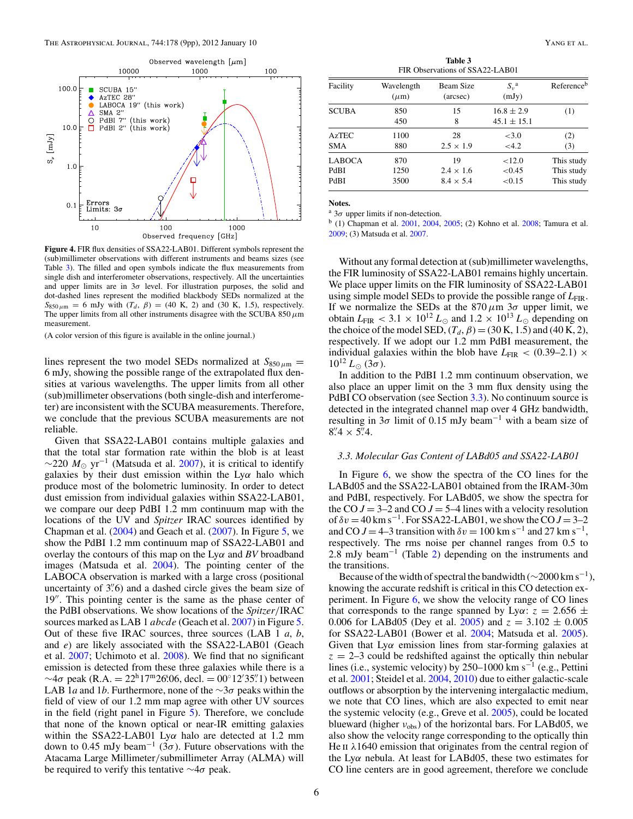<span id="page-5-0"></span>

**Figure 4.** FIR flux densities of SSA22-LAB01. Different symbols represent the (sub)millimeter observations with different instruments and beams sizes (see Table 3). The filled and open symbols indicate the flux measurements from single dish and interferometer observations, respectively. All the uncertainties and upper limits are in  $3\sigma$  level. For illustration purposes, the solid and dot-dashed lines represent the modified blackbody SEDs normalized at the  $S_{850 \mu m} = 6$  mJy with  $(T_d, \beta) = (40 \text{ K}, 2)$  and  $(30 \text{ K}, 1.5)$ , respectively. The upper limits from all other instruments disagree with the SCUBA 850*μ*m measurement.

(A color version of this figure is available in the online journal.)

lines represent the two model SEDs normalized at  $S_{850 \mu m}$  = 6 mJy, showing the possible range of the extrapolated flux densities at various wavelengths. The upper limits from all other (sub)millimeter observations (both single-dish and interferometer) are inconsistent with the SCUBA measurements. Therefore, we conclude that the previous SCUBA measurements are not reliable.

Given that SSA22-LAB01 contains multiple galaxies and that the total star formation rate within the blob is at least  $\sim$ 220 *M*<sub>☉</sub> yr<sup>-1</sup> (Matsuda et al. [2007\)](#page-8-0), it is critical to identify galaxies by their dust emission within the Ly*α* halo which produce most of the bolometric luminosity. In order to detect dust emission from individual galaxies within SSA22-LAB01, we compare our deep PdBI 1.2 mm continuum map with the locations of the UV and *Spitzer* IRAC sources identified by Chapman et al.  $(2004)$  and Geach et al.  $(2007)$ . In Figure [5,](#page-6-0) we show the PdBI 1.2 mm continuum map of SSA22-LAB01 and overlay the contours of this map on the Ly*α* and *BV* broadband images (Matsuda et al. [2004\)](#page-8-0). The pointing center of the LABOCA observation is marked with a large cross (positional uncertainty of 3*.* 6) and a dashed circle gives the beam size of 19". This pointing center is the same as the phase center of the PdBI observations. We show locations of the *Spitzer/*IRAC sources marked as LAB 1 *abcde* (Geach et al. [2007\)](#page-8-0) in Figure [5.](#page-6-0) Out of these five IRAC sources, three sources (LAB 1 *a*, *b*, and *e*) are likely associated with the SSA22-LAB01 (Geach et al. [2007;](#page-8-0) Uchimoto et al. [2008\)](#page-8-0). We find that no significant emission is detected from these three galaxies while there is a  $∼4\sigma$  peak (R.A. = 22<sup>h</sup>17<sup>m</sup>26<sup>8</sup>.06, decl. = 00° 12′35′. 1) between LAB 1*a* and 1*b*. Furthermore, none of the ∼3*σ* peaks within the field of view of our 1.2 mm map agree with other UV sources in the field (right panel in Figure [5\)](#page-6-0). Therefore, we conclude that none of the known optical or near-IR emitting galaxies within the SSA22-LAB01 Ly*α* halo are detected at 1.2 mm down to 0.45 mJy beam<sup>-1</sup> (3 $\sigma$ ). Future observations with the Atacama Large Millimeter*/*submillimeter Array (ALMA) will be required to verify this tentative ∼4*σ* peak.

**Table 3** FIR Observations of SSA22-LAB01

| Facility      | Wavelength<br>$(\mu m)$ | Beam Size<br>(arcsec) | $S_{\nu}^{\ a}$<br>(mJy)          | Reference <sup>b</sup> |
|---------------|-------------------------|-----------------------|-----------------------------------|------------------------|
| <b>SCUBA</b>  | 850<br>450              | 15<br>8               | $16.8 \pm 2.9$<br>$45.1 \pm 15.1$ | (1)                    |
| <b>AzTEC</b>  | 1100                    | 28                    | <3.0                              | (2)                    |
| <b>SMA</b>    | 880                     | $2.5 \times 1.9$      | <4.2                              | (3)                    |
| <b>LABOCA</b> | 870                     | 19                    | ${<}12.0$                         | This study             |
| PdBI          | 1250                    | $2.4 \times 1.6$      | ${<}0.45$                         | This study             |
| PdBI          | 3500                    | $8.4 \times 5.4$      | < 0.15                            | This study             |

**Notes.**

<sup>a</sup> 3*σ* upper limits if non-detection.

<sup>b</sup> (1) Chapman et al. [2001,](#page-8-0) [2004,](#page-8-0) [2005;](#page-8-0) (2) Kohno et al. [2008;](#page-8-0) Tamura et al. [2009;](#page-8-0) (3) Matsuda et al. [2007.](#page-8-0)

Without any formal detection at (sub)millimeter wavelengths, the FIR luminosity of SSA22-LAB01 remains highly uncertain. We place upper limits on the FIR luminosity of SSA22-LAB01 using simple model SEDs to provide the possible range of  $L_{\text{FIR}}$ . If we normalize the SEDs at the  $870 \mu m$  3 $\sigma$  upper limit, we obtain  $L_{\text{FIR}} < 3.1 \times 10^{12} L_{\odot}$  and  $1.2 \times 10^{13} L_{\odot}$  depending on the choice of the model SED,  $(T_d, \beta) = (30 \text{ K}, 1.5)$  and  $(40 \text{ K}, 2)$ , respectively. If we adopt our 1.2 mm PdBI measurement, the individual galaxies within the blob have  $L_{\text{FIR}}$  < (0.39–2.1)  $\times$  $10^{12} L_{\odot} (3\sigma)$ .

In addition to the PdBI 1.2 mm continuum observation, we also place an upper limit on the 3 mm flux density using the PdBI CO observation (see Section 3.3). No continuum source is detected in the integrated channel map over 4 GHz bandwidth, resulting in 3*σ* limit of 0.15 mJy beam−<sup>1</sup> with a beam size of  $8\rlap.{''}4 \times 5\rlap.{''}4.$ 

### *3.3. Molecular Gas Content of LABd05 and SSA22-LAB01*

In Figure [6,](#page-6-0) we show the spectra of the CO lines for the LABd05 and the SSA22-LAB01 obtained from the IRAM-30m and PdBI, respectively. For LABd05, we show the spectra for the CO  $J = 3-2$  and CO  $J = 5-4$  lines with a velocity resolution of  $\delta v = 40 \text{ km s}^{-1}$ . For SSA22-LAB01, we show the CO  $J = 3-2$ and CO  $J = 4-3$  transition with  $\delta v = 100$  km s<sup>-1</sup> and 27 km s<sup>-1</sup>, respectively. The rms noise per channel ranges from 0.5 to 2.8 mJy beam<sup>-1</sup> (Table [2\)](#page-3-0) depending on the instruments and the transitions.

Because of the width of spectral the bandwidth ( $\sim$ 2000 km s<sup>-1</sup>), knowing the accurate redshift is critical in this CO detection experiment. In Figure  $6$ , we show the velocity range of CO lines that corresponds to the range spanned by Ly $\alpha$ :  $z = 2.656 \pm$ 0.006 for LABd05 (Dey et al. [2005\)](#page-8-0) and  $z = 3.102 \pm 0.005$ for SSA22-LAB01 (Bower et al. [2004;](#page-8-0) Matsuda et al. [2005\)](#page-8-0). Given that  $Ly\alpha$  emission lines from star-forming galaxies at  $z = 2-3$  could be redshifted against the optically thin nebular lines (i.e., systemic velocity) by 250–1000 km s−<sup>1</sup> (e.g., Pettini et al. [2001;](#page-8-0) Steidel et al. [2004,](#page-8-0) [2010\)](#page-8-0) due to either galactic-scale outflows or absorption by the intervening intergalactic medium, we note that CO lines, which are also expected to emit near the systemic velocity (e.g., Greve et al. [2005\)](#page-8-0), could be located blueward (higher *ν*<sub>obs</sub>) of the horizontal bars. For LABd05, we also show the velocity range corresponding to the optically thin He ii *λ*1640 emission that originates from the central region of the Ly*α* nebula. At least for LABd05, these two estimates for CO line centers are in good agreement, therefore we conclude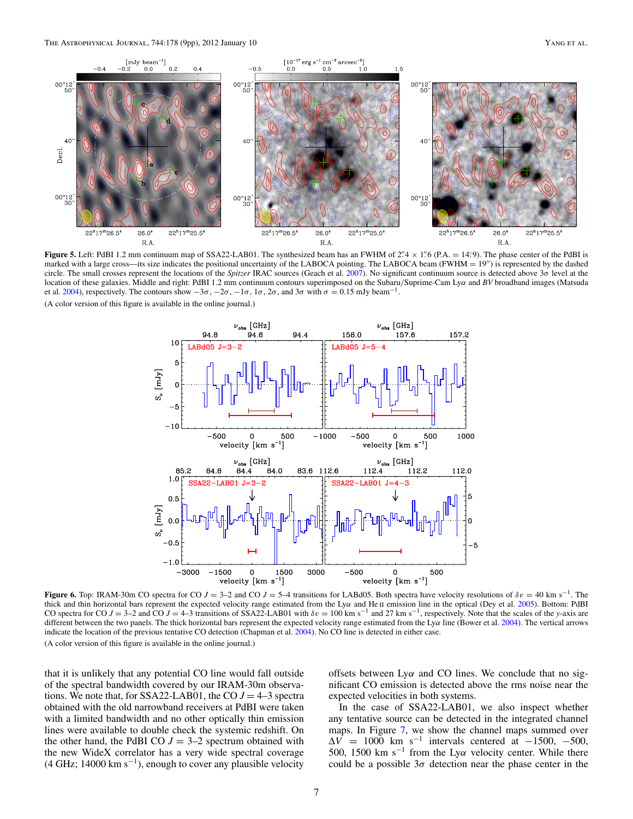<span id="page-6-0"></span>

**Figure 5.** Left: PdBI 1.2 mm continuum map of SSA22-LAB01. The synthesized beam has an FWHM of  $2^{\prime\prime}4 \times 1^{\prime\prime}6$  (P.A. = 14<sup>.</sup>9). The phase center of the PdBI is marked with a large cross—its size indicates the positional uncertainty of the LABOCA pointing. The LABOCA beam (FWHM = 19") is represented by the dashed circle. The small crosses represent the locations of the *Spitzer* IRAC sources (Geach et al. [2007\)](#page-8-0). No significant continuum source is detected above 3*σ* level at the location of these galaxies. Middle and right: PdBI 1.2 mm continuum contours superimposed on the Subaru*/*Suprime-Cam Ly*α* and *BV* broadband images (Matsuda et al. [2004\)](#page-8-0), respectively. The contours show  $-3\sigma$ ,  $-2\sigma$ ,  $-1\sigma$ ,  $1\sigma$ ,  $2\sigma$ , and  $3\sigma$  with  $\sigma = 0.15$  mJy beam<sup>-1</sup>. (A color version of this figure is available in the online journal.)



**Figure 6.** Top: IRAM-30m CO spectra for CO *J* = 3–2 and CO *J* = 5–4 transitions for LABd05. Both spectra have velocity resolutions of  $\delta v = 40 \text{ km s}^{-1}$ . The thick and thin horizontal bars represent the expected velocity range estimated from the Lyα and He u emission line in the optical (Dey et al. [2005\)](#page-8-0). Bottom: PdBI CO spectra for CO  $J = 3-2$  and CO  $J = 4-3$  transitions of SSA22-LAB01 with  $\delta v = 100 \text{ km s}^{-1}$  and 27 km s<sup>-1</sup>, respectively. Note that the scales of the *y*-axis are different between the two panels. The thick horizontal bars represent the expected velocity range estimated from the Ly*α* line (Bower et al. [2004\)](#page-8-0). The vertical arrows indicate the location of the previous tentative CO detection (Chapman et al. [2004\)](#page-8-0). No CO line is detected in either case. (A color version of this figure is available in the online journal.)

that it is unlikely that any potential CO line would fall outside of the spectral bandwidth covered by our IRAM-30m observations. We note that, for SSA22-LAB01, the CO  $J = 4-3$  spectra obtained with the old narrowband receivers at PdBI were taken with a limited bandwidth and no other optically thin emission lines were available to double check the systemic redshift. On the other hand, the PdBI CO  $J = 3-2$  spectrum obtained with the new WideX correlator has a very wide spectral coverage  $(4 \text{ GHz}; 14000 \text{ km s}^{-1})$ , enough to cover any plausible velocity

offsets between Ly*α* and CO lines. We conclude that no significant CO emission is detected above the rms noise near the expected velocities in both systems.

In the case of SSA22-LAB01, we also inspect whether any tentative source can be detected in the integrated channel maps. In Figure [7,](#page-7-0) we show the channel maps summed over  $\Delta V = 1000$  km s<sup>-1</sup> intervals centered at -1500, -500, 500, 1500 km s−<sup>1</sup> from the Ly*α* velocity center. While there could be a possible  $3\sigma$  detection near the phase center in the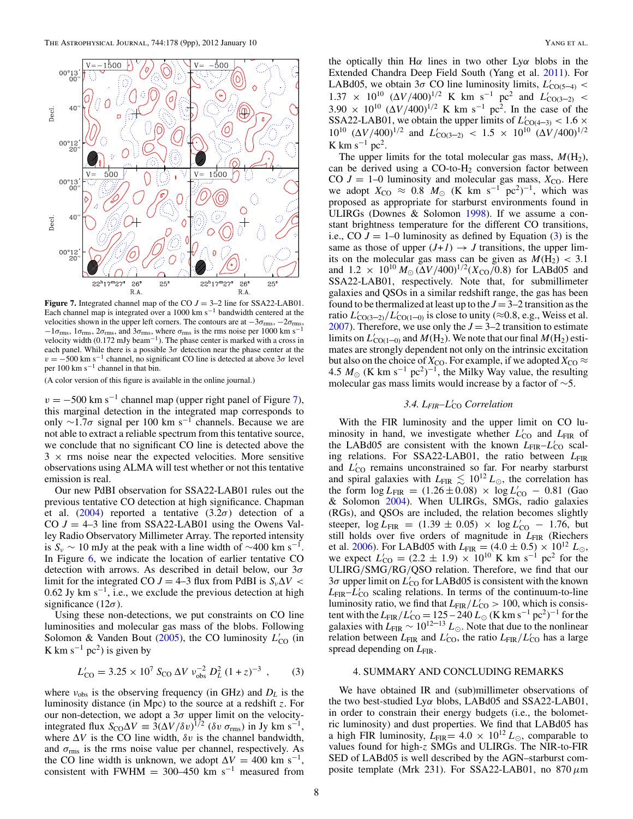<span id="page-7-0"></span>

**Figure 7.** Integrated channel map of the CO  $J = 3-2$  line for SSA22-LAB01. Each channel map is integrated over a 1000 km s−<sup>1</sup> bandwidth centered at the velocities shown in the upper left corners. The contours are at −3*σ*rms, −2*σ*rms, <sup>−</sup>1*σ*rms, 1*σ*rms, 2*σ*rms, and 3*σ*rms, where *<sup>σ</sup>*rms is the rms noise per 1000 km s−<sup>1</sup> velocity width (0.172 mJy beam−1). The phase center is marked with a cross in each panel. While there is a possible  $3\sigma$  detection near the phase center at the  $v = -500 \text{ km s}^{-1}$  channel, no significant CO line is detected at above  $3\sigma$  level per 100 km s<sup>-1</sup> channel in that bin.

(A color version of this figure is available in the online journal.)

 $v = -500$  km s<sup>-1</sup> channel map (upper right panel of Figure 7), this marginal detection in the integrated map corresponds to only <sup>∼</sup>1.7*<sup>σ</sup>* signal per 100 km s−<sup>1</sup> channels. Because we are not able to extract a reliable spectrum from this tentative source, we conclude that no significant CO line is detected above the  $3 \times$  rms noise near the expected velocities. More sensitive observations using ALMA will test whether or not this tentative emission is real.

Our new PdBI observation for SSA22-LAB01 rules out the previous tentative CO detection at high significance. Chapman et al. [\(2004\)](#page-8-0) reported a tentative  $(3.2\sigma)$  detection of a CO  $J = 4-3$  line from SSA22-LAB01 using the Owens Valley Radio Observatory Millimeter Array. The reported intensity is  $S_v \sim 10$  mJy at the peak with a line width of  $\sim 400$  km s<sup>-1</sup>. In Figure [6,](#page-6-0) we indicate the location of earlier tentative CO detection with arrows. As described in detail below, our 3*σ* limit for the integrated CO  $J = 4-3$  flux from PdBI is  $S_v \Delta V$  < 0.62 Jy km s<sup> $-1$ </sup>, i.e., we exclude the previous detection at high significance  $(12\sigma)$ .

Using these non-detections, we put constraints on CO line luminosities and molecular gas mass of the blobs. Following Solomon & Vanden Bout [\(2005\)](#page-8-0), the CO luminosity  $L'_{\text{CO}}$  (in K km s<sup>-1</sup> pc<sup>2</sup>) is given by

$$
L'_{\rm CO} = 3.25 \times 10^7 \, S_{\rm CO} \, \Delta V \, v_{\rm obs}^{-2} \, D_L^2 \, (1+z)^{-3} \,, \tag{3}
$$

where *ν*obs is the observing frequency (in GHz) and *DL* is the luminosity distance (in Mpc) to the source at a redshift *z*. For our non-detection, we adopt a 3*σ* upper limit on the velocityintegrated flux  $S_{\text{CO}}\Delta V = 3(\Delta V/\delta v)^{1/2}$  ( $\delta v \sigma_{\text{rms}}$ ) in Jy km s<sup>-1</sup>, where Δ*V* is the CO line width, *δv* is the channel bandwidth, and  $\sigma_{\rm rms}$  is the rms noise value per channel, respectively. As the CO line width is unknown, we adopt  $\Delta V = 400$  km s<sup>-1</sup>, consistent with FWHM = 300–450 km s<sup>-1</sup> measured from

the optically thin H*α* lines in two other Ly*α* blobs in the Extended Chandra Deep Field South (Yang et al. [2011\)](#page-8-0). For LABd05, we obtain  $3\sigma$  CO line luminosity limits,  $L'_{CO(5-4)}$  <  $1.37 \times 10^{10}$   $(\Delta V/400)^{1/2}$  K km s<sup>-1</sup> pc<sup>2</sup> and  $L'_{\text{CO(3-2)}}$  <  $3.90 \times 10^{10}$   $(\Delta V/400)^{1/2}$  K km s<sup>-1</sup> pc<sup>2</sup>. In the case of the SSA22-LAB01, we obtain the upper limits of  $L'_{\text{CO}(4-3)} < 1.6 \times 10^{-10}$  $10^{10}$   $(\Delta V/400)^{1/2}$  and  $L'_{\text{CO}(3-2)} < 1.5 \times 10^{10}$   $(\Delta V/400)^{1/2}$ K km s<sup> $-1$ </sup> pc<sup>2</sup>.

The upper limits for the total molecular gas mass,  $M(\text{H}_2)$ , can be derived using a  $CO$ -to- $H<sub>2</sub>$  conversion factor between CO  $J = 1-0$  luminosity and molecular gas mass,  $X_{\text{CO}}$ . Here we adopt  $X_{\text{CO}} \approx 0.8 M_{\odot}$  (K km s<sup>-1</sup> pc<sup>2</sup>)<sup>-1</sup>, which was proposed as appropriate for starburst environments found in ULIRGs (Downes & Solomon [1998\)](#page-8-0). If we assume a constant brightness temperature for the different CO transitions, i.e., CO  $J = 1-0$  luminosity as defined by Equation (3) is the same as those of upper  $(J+1) \rightarrow J$  transitions, the upper limits on the molecular gas mass can be given as  $M(H_2)$  < 3.1 and  $1.2 \times 10^{10} M_{\odot} (\Delta V/400)^{1/2} (X_{\rm CO}/0.8)$  for LABd05 and SSA22-LAB01, respectively. Note that, for submillimeter galaxies and QSOs in a similar redshift range, the gas has been found to be thermalized at least up to the  $J = 3-2$  transition as the ratio  $L'_{\text{CO}(3-2)}/L'_{\text{CO}(1-0)}$  is close to unity ( $\approx$ 0.8, e.g., Weiss et al. [2007\)](#page-8-0). Therefore, we use only the  $J = 3-2$  transition to estimate limits on  $L'_{\rm CO(1-0)}$  and  $M({\rm H_2}).$  We note that our final  $M({\rm H_2})$  estimates are strongly dependent not only on the intrinsic excitation but also on the choice of  $X_{\text{CO}}$ . For example, if we adopted  $X_{\text{CO}} \approx$ 4.5  $M_{\odot}$  (K km s<sup>-1</sup> pc<sup>2</sup>)<sup>-1</sup>, the Milky Way value, the resulting molecular gas mass limits would increase by a factor of  $~5$ .

# *3.4. LFIR–L* CO *Correlation*

With the FIR luminosity and the upper limit on CO luminosity in hand, we investigate whether  $L'_{\text{CO}}$  and  $L_{\text{FIR}}$  of the LABd05 are consistent with the known  $L_{\text{FIR}}-L'_{\text{CO}}$  scaling relations. For SSA22-LAB01, the ratio between *L*FIR and *L*<sup>'</sup><sub>CO</sub> remains unconstrained so far. For nearby starburst and spiral galaxies with  $L_{\text{FIR}} \lesssim 10^{12} L_{\odot}$ , the correlation has the form  $\log L_{\text{FIR}} = (1.26 \pm 0.08) \times \log L'_{\text{CO}} - 0.81$  (Gao & Solomon [2004\)](#page-8-0). When ULIRGs, SMGs, radio galaxies (RGs), and QSOs are included, the relation becomes slightly steeper,  $\log L_{\text{FIR}} = (1.39 \pm 0.05) \times \log L'_{\text{CO}} - 1.76$ , but still holds over five orders of magnitude in *L*<sub>FIR</sub> (Riechers et al. [2006\)](#page-8-0). For LABd05 with  $L_{\text{FIR}} = (4.0 \pm 0.5) \times 10^{12} L_{\odot}$ , we expect  $L'_{\text{CO}} = (2.2 \pm 1.9) \times 10^{10} \text{ K km s}^{-1} \text{ pc}^2$  for the ULIRG*/*SMG*/*RG*/*QSO relation. Therefore, we find that our 3*σ* upper limit on *L* CO for LABd05 is consistent with the known *L*FIR–*L* CO scaling relations. In terms of the continuum-to-line luminosity ratio, we find that  $L_{\text{FIR}}/L'_{\text{CO}} > 100$ , which is consistent with the  $L_{\text{FIR}}/L'_{\text{CO}} = 125 - 240 L_{\odot}$  (K km s<sup>-1</sup> pc<sup>2</sup>)<sup>-1</sup> for the galaxies with  $L_{\text{FIR}} \sim 10^{12-13} L_{\odot}$ . Note that due to the nonlinear relation between  $L_{\text{FIR}}$  and  $L'_{\text{CO}}$ , the ratio  $L_{\text{FIR}}/L'_{\text{CO}}$  has a large spread depending on  $L_{\text{FIR}}$ .

# 4. SUMMARY AND CONCLUDING REMARKS

We have obtained IR and (sub)millimeter observations of the two best-studied Ly*α* blobs, LABd05 and SSA22-LAB01, in order to constrain their energy budgets (i.e., the bolometric luminosity) and dust properties. We find that LABd05 has a high FIR luminosity,  $L_{\text{FIR}} = 4.0 \times 10^{12} L_{\odot}$ , comparable to values found for high-*z* SMGs and ULIRGs. The NIR-to-FIR SED of LABd05 is well described by the AGN–starburst composite template (Mrk 231). For SSA22-LAB01, no 870*μ*m